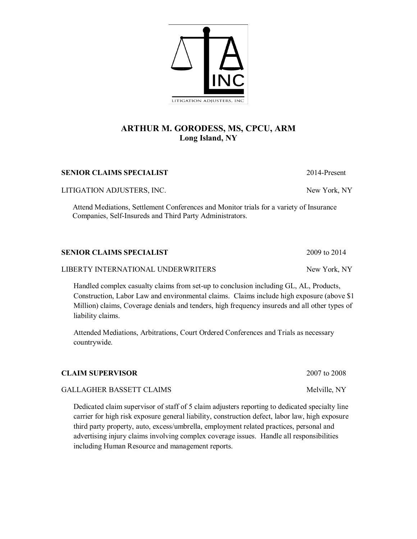# **ARTHUR M. GORODESS, MS, CPCU, ARM Long Island, NY**

#### **SENIOR CLAIMS SPECIALIST** 2014-Present

LITIGATION ADJUSTERS, INC. New York, NY

 Attend Mediations, Settlement Conferences and Monitor trials for a variety of Insurance Companies, Self-Insureds and Third Party Administrators.

| <b>SENIOR CLAIMS SPECIALIST</b>    | 2009 to 2014 |
|------------------------------------|--------------|
| LIBERTY INTERNATIONAL UNDERWRITERS | New York, NY |

Handled complex casualty claims from set-up to conclusion including GL, AL, Products, Construction, Labor Law and environmental claims. Claims include high exposure (above \$1 Million) claims, Coverage denials and tenders, high frequency insureds and all other types of liability claims.

Attended Mediations, Arbitrations, Court Ordered Conferences and Trials as necessary countrywide.

#### **CLAIM SUPERVISOR** 2007 to 2008

#### GALLAGHER BASSETT CLAIMS Melville, NY

Dedicated claim supervisor of staff of 5 claim adjusters reporting to dedicated specialty line carrier for high risk exposure general liability, construction defect, labor law, high exposure third party property, auto, excess/umbrella, employment related practices, personal and advertising injury claims involving complex coverage issues. Handle all responsibilities including Human Resource and management reports.

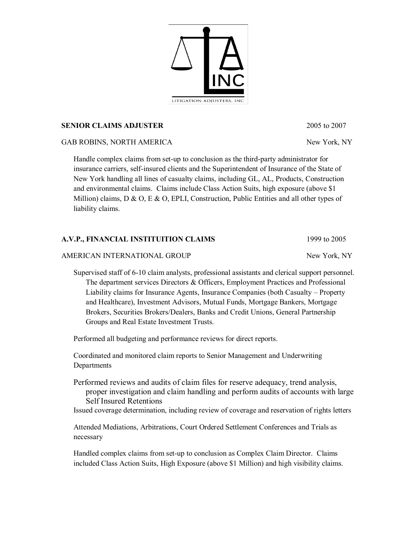**SENIOR CLAIMS ADJUSTER** 2005 to 2007

GAB ROBINS, NORTH AMERICA New York, NY

Handle complex claims from set-up to conclusion as the third-party administrator for insurance carriers, self-insured clients and the Superintendent of Insurance of the State of New York handling all lines of casualty claims, including GL, AL, Products, Construction and environmental claims. Claims include Class Action Suits, high exposure (above \$1 Million) claims, D & O, E & O, EPLI, Construction, Public Entities and all other types of liability claims.

## **A.V.P., FINANCIAL INSTITUITION CLAIMS** 1999 to 2005

AMERICAN INTERNATIONAL GROUP New York, NY

Supervised staff of 6-10 claim analysts, professional assistants and clerical support personnel. The department services Directors & Officers, Employment Practices and Professional Liability claims for Insurance Agents, Insurance Companies (both Casualty – Property and Healthcare), Investment Advisors, Mutual Funds, Mortgage Bankers, Mortgage Brokers, Securities Brokers/Dealers, Banks and Credit Unions, General Partnership Groups and Real Estate Investment Trusts.

Performed all budgeting and performance reviews for direct reports.

Coordinated and monitored claim reports to Senior Management and Underwriting Departments

Performed reviews and audits of claim files for reserve adequacy, trend analysis, proper investigation and claim handling and perform audits of accounts with large Self Insured Retentions

Issued coverage determination, including review of coverage and reservation of rights letters

Attended Mediations, Arbitrations, Court Ordered Settlement Conferences and Trials as necessary

Handled complex claims from set-up to conclusion as Complex Claim Director. Claims included Class Action Suits, High Exposure (above \$1 Million) and high visibility claims.

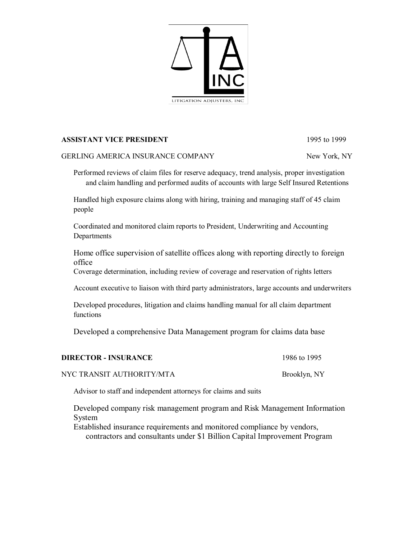

### **ASSISTANT VICE PRESIDENT** 1995 to 1999

#### GERLING AMERICA INSURANCE COMPANY New York, NY

Performed reviews of claim files for reserve adequacy, trend analysis, proper investigation and claim handling and performed audits of accounts with large Self Insured Retentions

Handled high exposure claims along with hiring, training and managing staff of 45 claim people

Coordinated and monitored claim reports to President, Underwriting and Accounting **Departments** 

Home office supervision of satellite offices along with reporting directly to foreign office

Coverage determination, including review of coverage and reservation of rights letters

Account executive to liaison with third party administrators, large accounts and underwriters

Developed procedures, litigation and claims handling manual for all claim department functions

Developed a comprehensive Data Management program for claims data base

| <b>DIRECTOR - INSURANCE</b> | 1986 to 1995 |
|-----------------------------|--------------|
|-----------------------------|--------------|

NYC TRANSIT AUTHORITY/MTA<br>Brooklyn, NY

Advisor to staff and independent attorneys for claims and suits

Developed company risk management program and Risk Management Information System

Established insurance requirements and monitored compliance by vendors, contractors and consultants under \$1 Billion Capital Improvement Program

| 1986 to 1995 |  |
|--------------|--|
|              |  |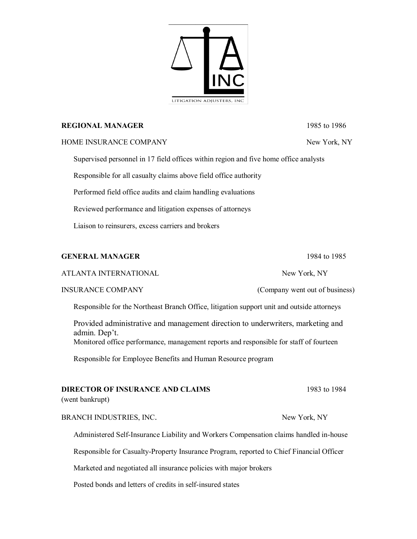

## **REGIONAL MANAGER** 1985 to 1986

## HOME INSURANCE COMPANY New York, NY

Supervised personnel in 17 field offices within region and five home office analysts

Responsible for all casualty claims above field office authority

Performed field office audits and claim handling evaluations

Reviewed performance and litigation expenses of attorneys

Liaison to reinsurers, excess carriers and brokers

## **GENERAL MANAGER** 1984 to 1985

### ATLANTA INTERNATIONAL NEW York, NY

## INSURANCE COMPANY (Company went out of business)

Responsible for the Northeast Branch Office, litigation support unit and outside attorneys

Provided administrative and management direction to underwriters, marketing and admin. Dep't. Monitored office performance, management reports and responsible for staff of fourteen

Responsible for Employee Benefits and Human Resource program

## **DIRECTOR OF INSURANCE AND CLAIMS** 1983 to 1984

(went bankrupt)

## BRANCH INDUSTRIES, INC. New York, NY

Administered Self-Insurance Liability and Workers Compensation claims handled in-house

Responsible for Casualty-Property Insurance Program, reported to Chief Financial Officer

Marketed and negotiated all insurance policies with major brokers

Posted bonds and letters of credits in self-insured states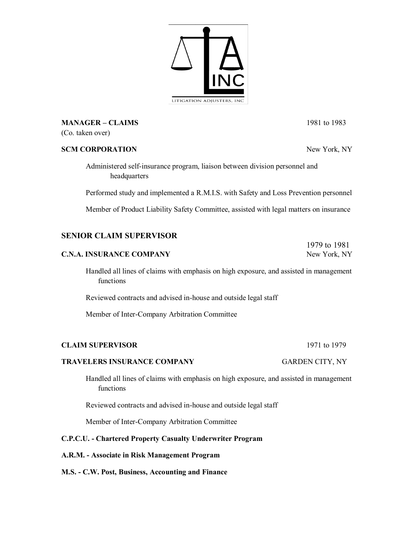**MANAGER – CLAIMS** 1981 to 1983

(Co. taken over)

#### **SCM CORPORATION** New York, NY

Administered self-insurance program, liaison between division personnel and headquarters

Performed study and implemented a R.M.I.S. with Safety and Loss Prevention personnel

Member of Product Liability Safety Committee, assisted with legal matters on insurance

## **SENIOR CLAIM SUPERVISOR**

#### **C.N.A. INSURANCE COMPANY** New York, NY

Handled all lines of claims with emphasis on high exposure, and assisted in management functions

Reviewed contracts and advised in-house and outside legal staff

Member of Inter-Company Arbitration Committee

### **CLAIM SUPERVISOR** 1971 to 1979

#### **TRAVELERS INSURANCE COMPANY** GARDEN CITY, NY

Handled all lines of claims with emphasis on high exposure, and assisted in management functions

Reviewed contracts and advised in-house and outside legal staff

Member of Inter-Company Arbitration Committee

### **C.P.C.U. - Chartered Property Casualty Underwriter Program**

#### **A.R.M. - Associate in Risk Management Program**

#### **M.S. - C.W. Post, Business, Accounting and Finance**

1979 to 1981